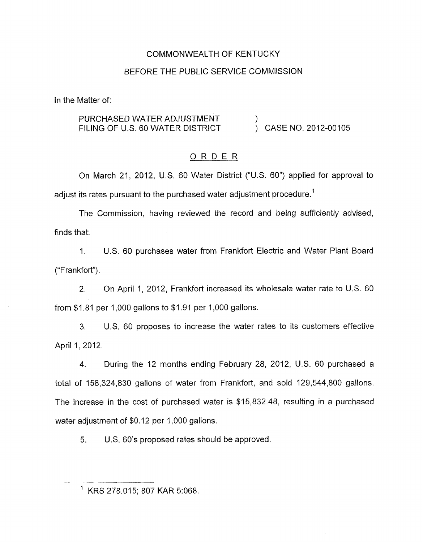#### COMMONWEALTH OF KENTUCKY

#### BEFORE THE PUBLIC SERVICE COMMISSION

In the Matter of:

# PURCHASED WATER ADJUSTMENT  $\qquad$ )<br>FILING OF U.S. 60 WATER DISTRICT  $\qquad$ ) CASE NO. 2012-00105

#### ORDER

On March 21, 2012, U.S. 60 Water District ("U.S. 60") applied for approval to adjust its rates pursuant to the purchased water adjustment procedure.<sup>1</sup>

The Commission, having reviewed the record and being sufficiently advised, finds that:

I. U.S. 60 purchases water from Frankfort Electric and Water Plant Board ("Frankfort") .

2. On April I, 2012, Frankfort increased its wholesale water rate to U.S. 60 from \$1.81 per 1,000 gallons to \$1.91 per 1,000 gallons.

3. U.S. 60 proposes to increase the water rates to its customers effective April 1, 2012.

4. During the 12 months ending February 28, 2012, U.S. 60 purchased a total of 158,324,830 gallons of water from Frankfort, and sold 129,544,800 gallons. The increase in the cost of purchased water is \$15,832.48, resulting in a purchased water adjustment of \$0.12 per 1,000 gallons.

5. U.S. 60's proposed rates should be approved.

<sup>&#</sup>x27; KRS 278.015; 807 KAR 5:068.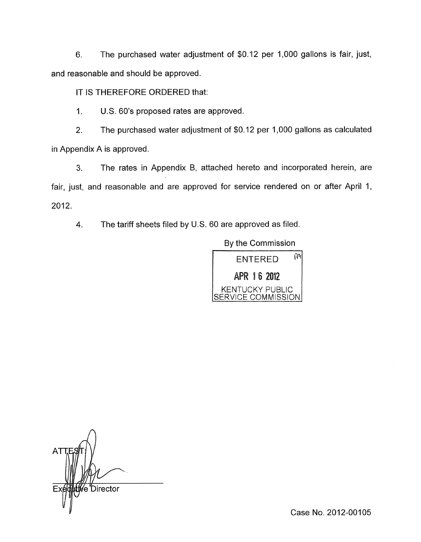6. The purchased water adjustment of \$0.12 per 1,000 gallons is fair, just, and reasonable and should be approved.

IT IS THEREFORE ORDERED that:

1. U.S. 60's proposed rates are approved.

2. The purchased water adjustment of \$0.12 per 1,000 gallons as calculated in Appendix A is approved.

**3.** The rates in Appendix B, attached hereto and incorporated herein, are fair, just, and reasonable and are approved for service rendered on or after April 1, 2012.

**4.** The tariff sheets filed by U.S. 60 are approved as filed.

By the Commission



*A*  é Director

Case No. 2012-00105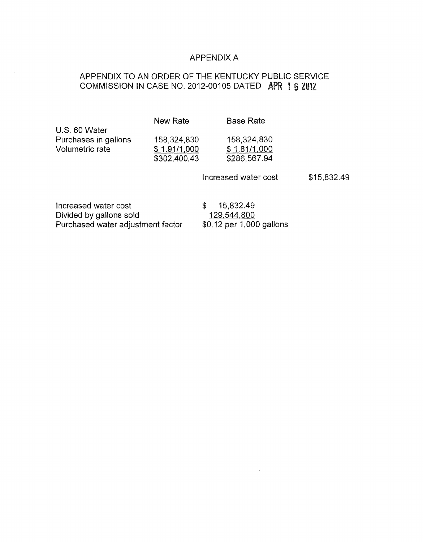#### APPENDIX A

### APPENDIX TO AN ORDER OF THE KENTUCKY PUBLIC SERVICE COMMISSION IN CASE NO. 2012-00105 DATED APR 1 6 2012

New Rate Base Rate

U.S. 60 Water Purchases in gallons 158,324,830 158,324,830<br>Volumetric rate  $$ 1.91/1,000$   $$ 1.81/1,000$ Volumetric rate

\$302,400.43 \$286,567.94

Increased water cost \$15,832.49

Increased water cost  $$ 15,832.49$ <br>Divided by gallons sold  $$ 129,544,800$ Divided by gallons sold<br>
Purchased water adjustment factor  $$0.12$  per 1,000 gallons Purchased water adjustment factor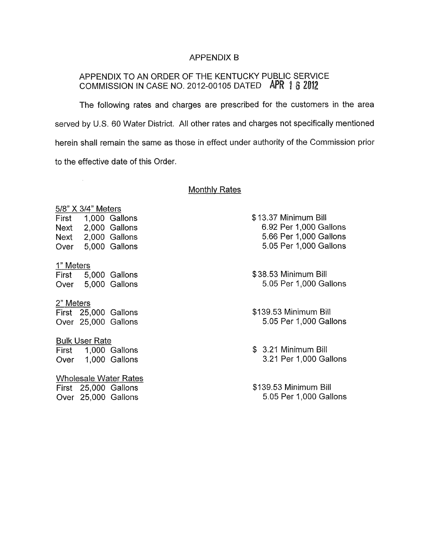#### APPENDIX B

## APPENDIX TO AN ORDER OF THE KENTUCKY PUBLIC SERVICE  $\texttt{COMM}{}$ ISSION IN CASE NO. 2012-00105 DATED APR 1  $5$   $\bar{\textit{a}}$

The following rates and charges are prescribed for the customers in the area served by U.S. 60 Water District, All other rates and charges not specifically mentioned herein shall remain the same as those in effect under authority of the Commission prior to the effective date of this Order.

#### Monthlv Rates

5/8" X 3/4" Meters<br>First 1,000 Gal

 $\mathcal{L}_{\mathcal{A}}$ 

1,000 Gallons Next 2,000 Gallons Next 2,000 Gallons Over 5,000 Gallons

1" Meters

First 5,000 Gallons Over 5,000 Gallons

2" Meters

First 25,000 Gallons Over 25,000 Gallons

**Bulk User Rate** 

First 1,000 Gallons Over 1,000 Gallons

Wholesale Water Rates First 25,000 Gallons Over 25,000 Gallons

\$13.37 Minimum Bill 6.92 Per 1,000 Gallons 5.66 Per 1,000 Gallons 5.05 Per 1,000 Gallons

\$38.53 Minimum Bill 5.05 Per 1,000 Gallons

\$1 39.53 Minimum Bill 5.05 Per 1,000 Gallons

\$ 3.21 Minimum Bill 3.21 Per 1,000 Gallons

\$1 39.53 Minimum Bill 5.05 Per 1,000 Gallons